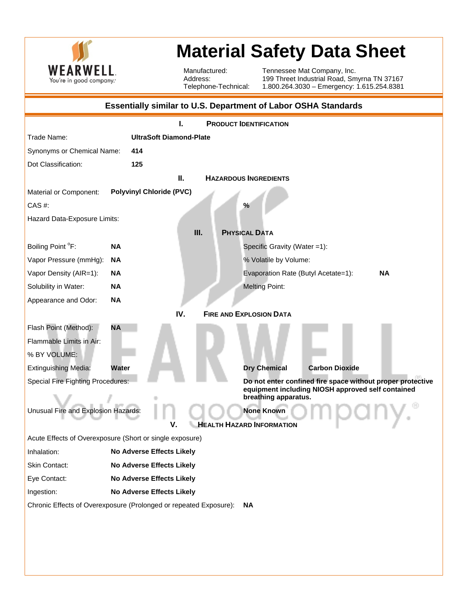

## **Material Safety Data Sheet**

Manufactured: Address: Telephone-Technical: Tennessee Mat Company, Inc. 199 Threet Industrial Road, Smyrna TN 37167 1.800.264.3030 – Emergency: 1.615.254.8381

| <b>Essentially similar to U.S. Department of Labor OSHA Standards</b>          |                                 |                                                            |  |  |
|--------------------------------------------------------------------------------|---------------------------------|------------------------------------------------------------|--|--|
| <b>PRODUCT IDENTIFICATION</b>                                                  |                                 |                                                            |  |  |
| Trade Name:                                                                    | <b>UltraSoft Diamond-Plate</b>  |                                                            |  |  |
| Synonyms or Chemical Name:<br>414                                              |                                 |                                                            |  |  |
| Dot Classification:                                                            | 125                             |                                                            |  |  |
| Ш.<br><b>HAZARDOUS INGREDIENTS</b>                                             |                                 |                                                            |  |  |
| Material or Component:                                                         | <b>Polyvinyl Chloride (PVC)</b> |                                                            |  |  |
| CAS #:                                                                         |                                 | $\frac{9}{6}$                                              |  |  |
| Hazard Data-Exposure Limits:                                                   |                                 |                                                            |  |  |
|                                                                                | Ш.                              | <b>PHYSICAL DATA</b>                                       |  |  |
| Boiling Point °F:                                                              | <b>NA</b>                       | Specific Gravity (Water =1):                               |  |  |
| Vapor Pressure (mmHg):                                                         | <b>NA</b>                       | % Volatile by Volume:                                      |  |  |
| Vapor Density (AIR=1):                                                         | <b>NA</b>                       | <b>NA</b><br>Evaporation Rate (Butyl Acetate=1):           |  |  |
| Solubility in Water:                                                           | <b>NA</b>                       | <b>Melting Point:</b>                                      |  |  |
| Appearance and Odor:                                                           | <b>NA</b>                       |                                                            |  |  |
|                                                                                | IV.                             | <b>FIRE AND EXPLOSION DATA</b>                             |  |  |
| Flash Point (Method):                                                          | <b>NA</b>                       |                                                            |  |  |
| Flammable Limits in Air:                                                       |                                 |                                                            |  |  |
| % BY VOLUME:                                                                   |                                 |                                                            |  |  |
| <b>Extinguishing Media:</b>                                                    | Water                           | <b>Dry Chemical</b><br><b>Carbon Dioxide</b>               |  |  |
| Special Fire Fighting Procedures:                                              |                                 | Do not enter confined fire space without proper protective |  |  |
| equipment including NIOSH approved self contained<br>breathing apparatus.      |                                 |                                                            |  |  |
| Unusual Fire and Explosion Hazards:<br><b>None Known</b>                       |                                 |                                                            |  |  |
| <b>HEALTH HAZARD INFORMATION</b><br>v                                          |                                 |                                                            |  |  |
| Acute Effects of Overexposure (Short or single exposure)                       |                                 |                                                            |  |  |
| Inhalation:                                                                    | No Adverse Effects Likely       |                                                            |  |  |
| Skin Contact:                                                                  | No Adverse Effects Likely       |                                                            |  |  |
| Eye Contact:                                                                   | No Adverse Effects Likely       |                                                            |  |  |
| Ingestion:                                                                     | No Adverse Effects Likely       |                                                            |  |  |
| Chronic Effects of Overexposure (Prolonged or repeated Exposure):<br><b>NA</b> |                                 |                                                            |  |  |
|                                                                                |                                 |                                                            |  |  |
|                                                                                |                                 |                                                            |  |  |